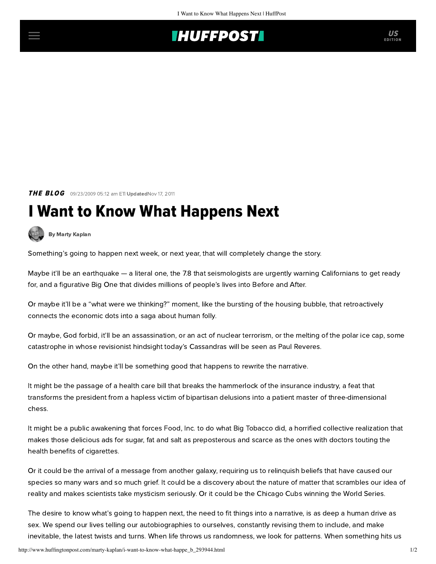## **THUFFPOSTI** US

**THE BLOG** 09/23/2009 05:12 am ETI UpdatedNov 17, 2011

## I Want to Know What Happens Next

[By Marty Kaplan](http://www.huffingtonpost.com/author/marty-kaplan)

Something's going to happen next week, or next year, that will completely change the story.

Maybe it'll be an earthquake — a literal one, the 7.8 that seismologists are urgently warning Californians to get ready for, and a figurative Big One that divides millions of people's lives into Before and After.

Or maybe it'll be a "what were we thinking?" moment, like the bursting of the housing bubble, that retroactively connects the economic dots into a saga about human folly.

Or maybe, God forbid, it'll be an assassination, or an act of nuclear terrorism, or the melting of the polar ice cap, some catastrophe in whose revisionist hindsight today's Cassandras will be seen as Paul Reveres.

On the other hand, maybe it'll be something good that happens to rewrite the narrative.

It might be the passage of a health care bill that breaks the hammerlock of the insurance industry, a feat that transforms the president from a hapless victim of bipartisan delusions into a patient master of three-dimensional chess.

It might be a public awakening that forces Food, Inc. to do what Big Tobacco did, a horrified collective realization that makes those delicious ads for sugar, fat and salt as preposterous and scarce as the ones with doctors touting the health benefits of cigarettes.

Or it could be the arrival of a message from another galaxy, requiring us to relinquish beliefs that have caused our species so many wars and so much grief. It could be a discovery about the nature of matter that scrambles our idea of reality and makes scientists take mysticism seriously. Or it could be the Chicago Cubs winning the World Series.

The desire to know what's going to happen next, the need to fit things into a narrative, is as deep a human drive as sex. We spend our lives telling our autobiographies to ourselves, constantly revising them to include, and make inevitable, the latest twists and turns. When life throws us randomness, we look for patterns. When something hits us